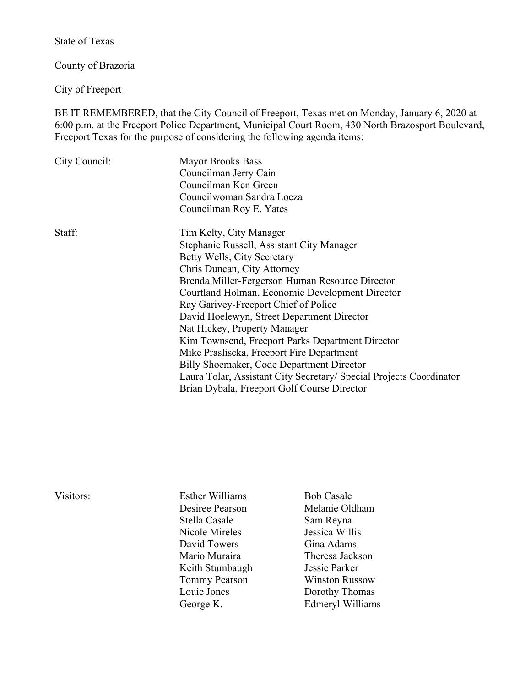State of Texas

County of Brazoria

City of Freeport

BE IT REMEMBERED, that the City Council of Freeport, Texas met on Monday, January 6, 2020 at 6:00 p.m. at the Freeport Police Department, Municipal Court Room, 430 North Brazosport Boulevard, Freeport Texas for the purpose of considering the following agenda items:

| <b>Mayor Brooks Bass</b>                                            |  |  |
|---------------------------------------------------------------------|--|--|
| Councilman Jerry Cain                                               |  |  |
| Councilman Ken Green                                                |  |  |
| Councilwoman Sandra Loeza                                           |  |  |
| Councilman Roy E. Yates                                             |  |  |
| Tim Kelty, City Manager                                             |  |  |
| Stephanie Russell, Assistant City Manager                           |  |  |
| Betty Wells, City Secretary                                         |  |  |
| Chris Duncan, City Attorney                                         |  |  |
| Brenda Miller-Fergerson Human Resource Director                     |  |  |
| Courtland Holman, Economic Development Director                     |  |  |
| Ray Garivey-Freeport Chief of Police                                |  |  |
| David Hoelewyn, Street Department Director                          |  |  |
| Nat Hickey, Property Manager                                        |  |  |
| Kim Townsend, Freeport Parks Department Director                    |  |  |
| Mike Prasliscka, Freeport Fire Department                           |  |  |
| Billy Shoemaker, Code Department Director                           |  |  |
| Laura Tolar, Assistant City Secretary/ Special Projects Coordinator |  |  |
| Brian Dybala, Freeport Golf Course Director                         |  |  |
|                                                                     |  |  |

| Visitors: | <b>Esther Williams</b> | <b>Bob Casale</b>     |
|-----------|------------------------|-----------------------|
|           | Desiree Pearson        | Melanie Oldham        |
|           | Stella Casale          | Sam Reyna             |
|           | Nicole Mireles         | Jessica Willis        |
|           | David Towers           | Gina Adams            |
|           | Mario Muraira          | Theresa Jackson       |
|           | Keith Stumbaugh        | Jessie Parker         |
|           | <b>Tommy Pearson</b>   | <b>Winston Russow</b> |
|           | Louie Jones            | Dorothy Thomas        |
|           | George K.              | Edmeryl Williams      |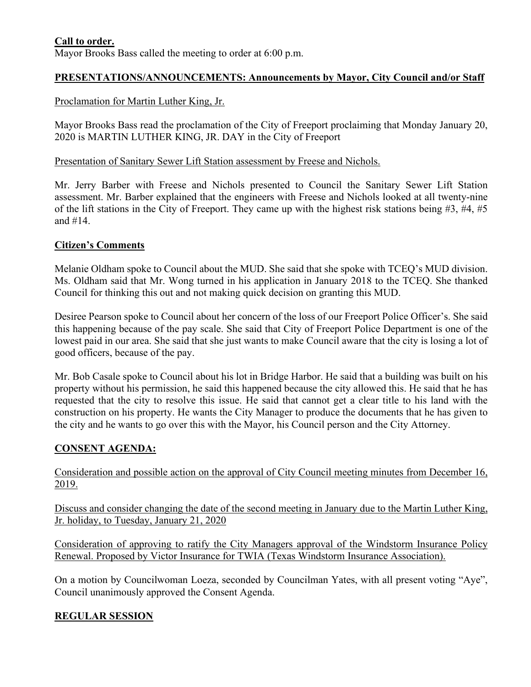## **Call to order.**

Mayor Brooks Bass called the meeting to order at 6:00 p.m.

## **PRESENTATIONS/ANNOUNCEMENTS: Announcements by Mayor, City Council and/or Staff**

Proclamation for Martin Luther King, Jr.

Mayor Brooks Bass read the proclamation of the City of Freeport proclaiming that Monday January 20, 2020 is MARTIN LUTHER KING, JR. DAY in the City of Freeport

#### Presentation of Sanitary Sewer Lift Station assessment by Freese and Nichols.

Mr. Jerry Barber with Freese and Nichols presented to Council the Sanitary Sewer Lift Station assessment. Mr. Barber explained that the engineers with Freese and Nichols looked at all twenty-nine of the lift stations in the City of Freeport. They came up with the highest risk stations being #3, #4, #5 and #14.

### **Citizen's Comments**

Melanie Oldham spoke to Council about the MUD. She said that she spoke with TCEQ's MUD division. Ms. Oldham said that Mr. Wong turned in his application in January 2018 to the TCEQ. She thanked Council for thinking this out and not making quick decision on granting this MUD.

Desiree Pearson spoke to Council about her concern of the loss of our Freeport Police Officer's. She said this happening because of the pay scale. She said that City of Freeport Police Department is one of the lowest paid in our area. She said that she just wants to make Council aware that the city is losing a lot of good officers, because of the pay.

Mr. Bob Casale spoke to Council about his lot in Bridge Harbor. He said that a building was built on his property without his permission, he said this happened because the city allowed this. He said that he has requested that the city to resolve this issue. He said that cannot get a clear title to his land with the construction on his property. He wants the City Manager to produce the documents that he has given to the city and he wants to go over this with the Mayor, his Council person and the City Attorney.

## **CONSENT AGENDA:**

Consideration and possible action on the approval of City Council meeting minutes from December 16, 2019.

Discuss and consider changing the date of the second meeting in January due to the Martin Luther King, Jr. holiday, to Tuesday, January 21, 2020

Consideration of approving to ratify the City Managers approval of the Windstorm Insurance Policy Renewal. Proposed by Victor Insurance for TWIA (Texas Windstorm Insurance Association).

On a motion by Councilwoman Loeza, seconded by Councilman Yates, with all present voting "Aye", Council unanimously approved the Consent Agenda.

## **REGULAR SESSION**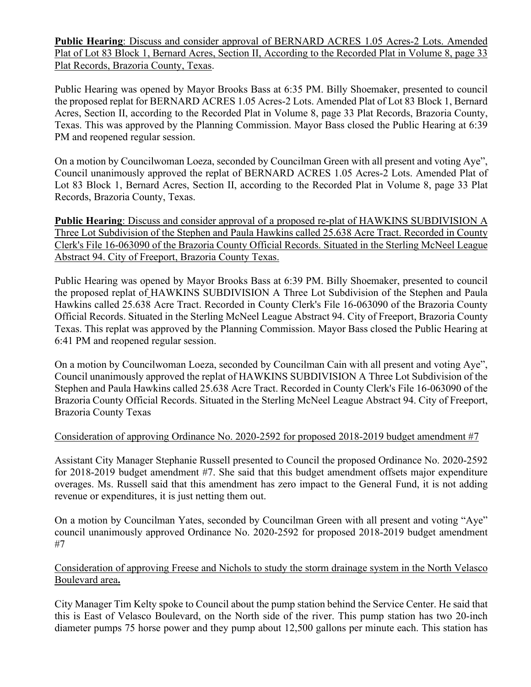**Public Hearing**: Discuss and consider approval of BERNARD ACRES 1.05 Acres-2 Lots. Amended Plat of Lot 83 Block 1, Bernard Acres, Section II, According to the Recorded Plat in Volume 8, page 33 Plat Records, Brazoria County, Texas.

Public Hearing was opened by Mayor Brooks Bass at 6:35 PM. Billy Shoemaker, presented to council the proposed replat for BERNARD ACRES 1.05 Acres-2 Lots. Amended Plat of Lot 83 Block 1, Bernard Acres, Section II, according to the Recorded Plat in Volume 8, page 33 Plat Records, Brazoria County, Texas. This was approved by the Planning Commission. Mayor Bass closed the Public Hearing at 6:39 PM and reopened regular session.

On a motion by Councilwoman Loeza, seconded by Councilman Green with all present and voting Aye", Council unanimously approved the replat of BERNARD ACRES 1.05 Acres-2 Lots. Amended Plat of Lot 83 Block 1, Bernard Acres, Section II, according to the Recorded Plat in Volume 8, page 33 Plat Records, Brazoria County, Texas.

**Public Hearing**: Discuss and consider approval of a proposed re-plat of HAWKINS SUBDIVISION A Three Lot Subdivision of the Stephen and Paula Hawkins called 25.638 Acre Tract. Recorded in County Clerk's File 16-063090 of the Brazoria County Official Records. Situated in the Sterling McNeel League Abstract 94. City of Freeport, Brazoria County Texas.

Public Hearing was opened by Mayor Brooks Bass at 6:39 PM. Billy Shoemaker, presented to council the proposed replat of HAWKINS SUBDIVISION A Three Lot Subdivision of the Stephen and Paula Hawkins called 25.638 Acre Tract. Recorded in County Clerk's File 16-063090 of the Brazoria County Official Records. Situated in the Sterling McNeel League Abstract 94. City of Freeport, Brazoria County Texas. This replat was approved by the Planning Commission. Mayor Bass closed the Public Hearing at 6:41 PM and reopened regular session.

On a motion by Councilwoman Loeza, seconded by Councilman Cain with all present and voting Aye", Council unanimously approved the replat of HAWKINS SUBDIVISION A Three Lot Subdivision of the Stephen and Paula Hawkins called 25.638 Acre Tract. Recorded in County Clerk's File 16-063090 of the Brazoria County Official Records. Situated in the Sterling McNeel League Abstract 94. City of Freeport, Brazoria County Texas

#### Consideration of approving Ordinance No. 2020-2592 for proposed 2018-2019 budget amendment #7

Assistant City Manager Stephanie Russell presented to Council the proposed Ordinance No. 2020-2592 for 2018-2019 budget amendment #7. She said that this budget amendment offsets major expenditure overages. Ms. Russell said that this amendment has zero impact to the General Fund, it is not adding revenue or expenditures, it is just netting them out.

On a motion by Councilman Yates, seconded by Councilman Green with all present and voting "Aye" council unanimously approved Ordinance No. 2020-2592 for proposed 2018-2019 budget amendment #7

Consideration of approving Freese and Nichols to study the storm drainage system in the North Velasco Boulevard area**.**

City Manager Tim Kelty spoke to Council about the pump station behind the Service Center. He said that this is East of Velasco Boulevard, on the North side of the river. This pump station has two 20-inch diameter pumps 75 horse power and they pump about 12,500 gallons per minute each. This station has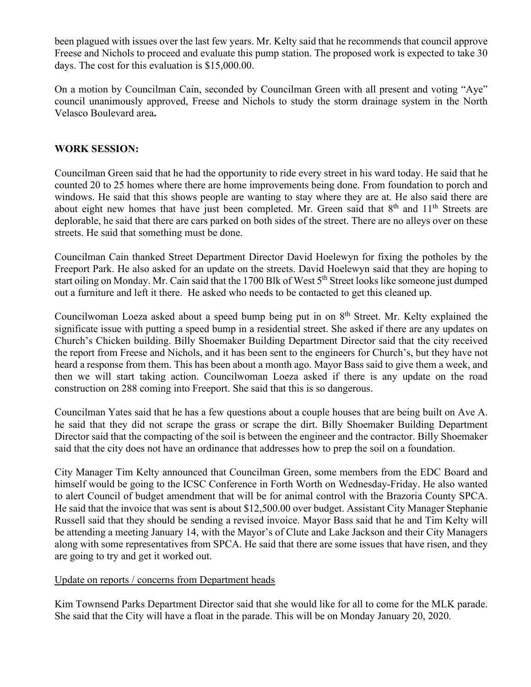been plagued with issues over the last few years. Mr. Kelty said that he recommends that council approve Freese and Nichols to proceed and evaluate this pump station. The proposed work is expected to take 30 days. The cost for this evaluation is \$15,000.00.

On a motion by Councilman Cain, seconded by Councilman Green with all present and voting "Aye" council unanimously approved, Freese and Nichols to study the storm drainage system in the North Velasco Boulevard area**.**

### **WORK SESSION:**

Councilman Green said that he had the opportunity to ride every street in his ward today. He said that he counted 20 to 25 homes where there are home improvements being done. From foundation to porch and windows. He said that this shows people are wanting to stay where they are at. He also said there are about eight new homes that have just been completed. Mr. Green said that 8<sup>th</sup> and 11<sup>th</sup> Streets are deplorable, he said that there are cars parked on both sides of the street. There are no alleys over on these streets. He said that something must be done.

Councilman Cain thanked Street Department Director David Hoelewyn for fixing the potholes by the Freeport Park. He also asked for an update on the streets. David Hoelewyn said that they are hoping to start oiling on Monday. Mr. Cain said that the 1700 Blk of West 5<sup>th</sup> Street looks like someone just dumped out a furniture and left it there. He asked who needs to be contacted to get this cleaned up.

Councilwoman Loeza asked about a speed bump being put in on  $8<sup>th</sup>$  Street. Mr. Kelty explained the significate issue with putting a speed bump in a residential street. She asked if there are any updates on Church's Chicken building. Billy Shoemaker Building Department Director said that the city received the report from Freese and Nichols, and it has been sent to the engineers for Church's, but they have not heard a response from them. This has been about a month ago. Mayor Bass said to give them a week, and then we will start taking action. Councilwoman Loeza asked if there is any update on the road construction on 288 coming into Freeport. She said that this is so dangerous.

Councilman Yates said that he has a few questions about a couple houses that are being built on Ave A. he said that they did not scrape the grass or scrape the dirt. Billy Shoemaker Building Department Director said that the compacting of the soil is between the engineer and the contractor. Billy Shoemaker said that the city does not have an ordinance that addresses how to prep the soil on a foundation.

City Manager Tim Kelty announced that Councilman Green, some members from the EDC Board and himself would be going to the ICSC Conference in Forth Worth on Wednesday-Friday. He also wanted to alert Council of budget amendment that will be for animal control with the Brazoria County SPCA. He said that the invoice that was sent is about \$12,500.00 over budget. Assistant City Manager Stephanie Russell said that they should be sending a revised invoice. Mayor Bass said that he and Tim Kelty will be attending a meeting January 14, with the Mayor's of Clute and Lake Jackson and their City Managers along with some representatives from SPCA. He said that there are some issues that have risen, and they are going to try and get it worked out.

#### Update on reports / concerns from Department heads

Kim Townsend Parks Department Director said that she would like for all to come for the MLK parade. She said that the City will have a float in the parade. This will be on Monday January 20, 2020.